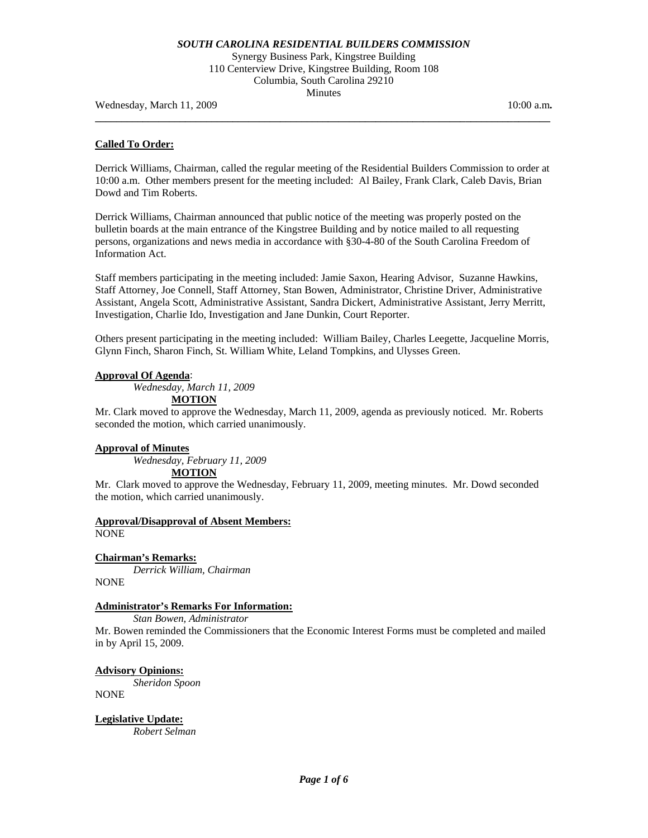Synergy Business Park, Kingstree Building 110 Centerview Drive, Kingstree Building, Room 108 Columbia, South Carolina 29210 Minutes

**\_\_\_\_\_\_\_\_\_\_\_\_\_\_\_\_\_\_\_\_\_\_\_\_\_\_\_\_\_\_\_\_\_\_\_\_\_\_\_\_\_\_\_\_\_\_\_\_\_\_\_\_\_\_\_\_\_\_\_\_\_\_\_\_\_\_\_\_\_\_\_\_\_\_\_\_\_\_\_\_\_\_\_\_\_\_** 

Wednesday, March 11, 2009 **10:00 a.m. 10:00 a.m. 10:00 a.m.** 

## **Called To Order:**

Derrick Williams, Chairman, called the regular meeting of the Residential Builders Commission to order at 10:00 a.m. Other members present for the meeting included: Al Bailey, Frank Clark, Caleb Davis, Brian Dowd and Tim Roberts.

Derrick Williams, Chairman announced that public notice of the meeting was properly posted on the bulletin boards at the main entrance of the Kingstree Building and by notice mailed to all requesting persons, organizations and news media in accordance with §30-4-80 of the South Carolina Freedom of Information Act.

Staff members participating in the meeting included: Jamie Saxon, Hearing Advisor, Suzanne Hawkins, Staff Attorney, Joe Connell, Staff Attorney, Stan Bowen, Administrator, Christine Driver, Administrative Assistant, Angela Scott, Administrative Assistant, Sandra Dickert, Administrative Assistant, Jerry Merritt, Investigation, Charlie Ido, Investigation and Jane Dunkin, Court Reporter.

Others present participating in the meeting included: William Bailey, Charles Leegette, Jacqueline Morris, Glynn Finch, Sharon Finch, St. William White, Leland Tompkins, and Ulysses Green.

### **Approval Of Agenda**:

*Wednesday, March 11, 2009*  **MOTION**

Mr. Clark moved to approve the Wednesday, March 11, 2009, agenda as previously noticed. Mr. Roberts seconded the motion, which carried unanimously.

### **Approval of Minutes**

 *Wednesday, February 11, 2009*

**MOTION**

Mr. Clark moved to approve the Wednesday, February 11, 2009, meeting minutes. Mr. Dowd seconded the motion, which carried unanimously.

## **Approval/Disapproval of Absent Members:** NONE

## **Chairman's Remarks:**

*Derrick William, Chairman*  **NONE** 

## **Administrator's Remarks For Information:**

 *Stan Bowen, Administrator* 

Mr. Bowen reminded the Commissioners that the Economic Interest Forms must be completed and mailed in by April 15, 2009.

**Advisory Opinions:** 

*Sheridon Spoon*  NONE

**Legislative Update:**  *Robert Selman*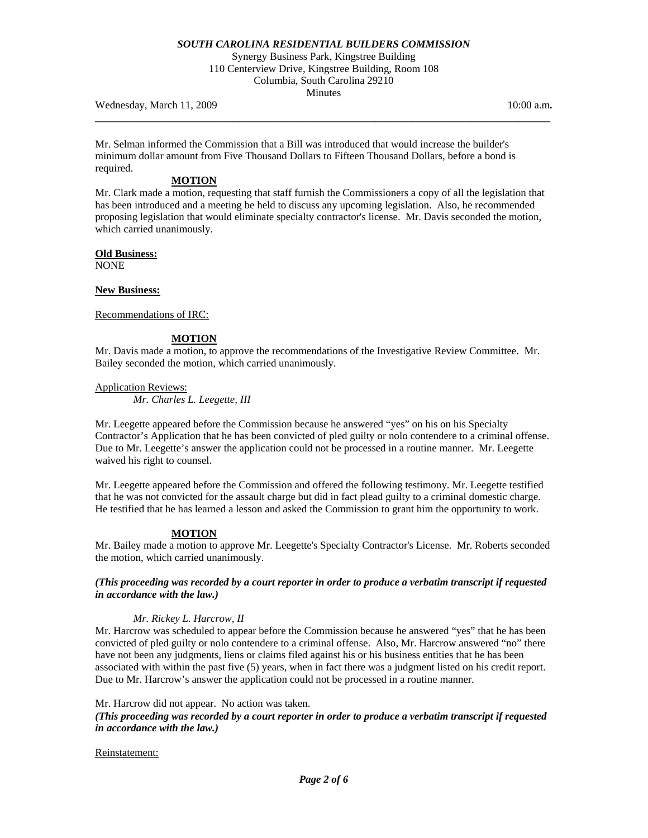Synergy Business Park, Kingstree Building 110 Centerview Drive, Kingstree Building, Room 108 Columbia, South Carolina 29210 Minutes

**\_\_\_\_\_\_\_\_\_\_\_\_\_\_\_\_\_\_\_\_\_\_\_\_\_\_\_\_\_\_\_\_\_\_\_\_\_\_\_\_\_\_\_\_\_\_\_\_\_\_\_\_\_\_\_\_\_\_\_\_\_\_\_\_\_\_\_\_\_\_\_\_\_\_\_\_\_\_\_\_\_\_\_\_\_\_** 

Wednesday, March 11, 2009 **10:00 a.m. 10:00 a.m. 10:00 a.m. 10:00 a.m.** 

Mr. Selman informed the Commission that a Bill was introduced that would increase the builder's minimum dollar amount from Five Thousand Dollars to Fifteen Thousand Dollars, before a bond is required.

# **MOTION**

Mr. Clark made a motion, requesting that staff furnish the Commissioners a copy of all the legislation that has been introduced and a meeting be held to discuss any upcoming legislation. Also, he recommended proposing legislation that would eliminate specialty contractor's license. Mr. Davis seconded the motion, which carried unanimously.

## **Old Business:**

NONE

## **New Business:**

Recommendations of IRC:

## **MOTION**

Mr. Davis made a motion, to approve the recommendations of the Investigative Review Committee. Mr. Bailey seconded the motion, which carried unanimously.

Application Reviews:  *Mr. Charles L. Leegette, III* 

Mr. Leegette appeared before the Commission because he answered "yes" on his on his Specialty Contractor's Application that he has been convicted of pled guilty or nolo contendere to a criminal offense. Due to Mr. Leegette's answer the application could not be processed in a routine manner. Mr. Leegette waived his right to counsel.

Mr. Leegette appeared before the Commission and offered the following testimony. Mr. Leegette testified that he was not convicted for the assault charge but did in fact plead guilty to a criminal domestic charge. He testified that he has learned a lesson and asked the Commission to grant him the opportunity to work.

## **MOTION**

Mr. Bailey made a motion to approve Mr. Leegette's Specialty Contractor's License. Mr. Roberts seconded the motion, which carried unanimously.

## *(This proceeding was recorded by a court reporter in order to produce a verbatim transcript if requested in accordance with the law.)*

## *Mr. Rickey L. Harcrow, II*

Mr. Harcrow was scheduled to appear before the Commission because he answered "yes" that he has been convicted of pled guilty or nolo contendere to a criminal offense. Also, Mr. Harcrow answered "no" there have not been any judgments, liens or claims filed against his or his business entities that he has been associated with within the past five (5) years, when in fact there was a judgment listed on his credit report. Due to Mr. Harcrow's answer the application could not be processed in a routine manner.

### Mr. Harcrow did not appear. No action was taken.

## *(This proceeding was recorded by a court reporter in order to produce a verbatim transcript if requested in accordance with the law.)*

### Reinstatement: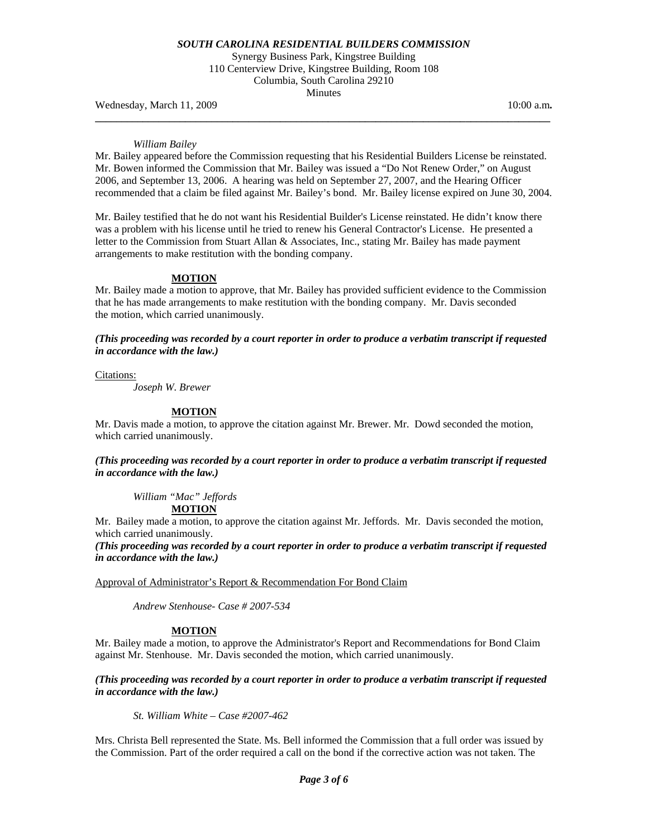Synergy Business Park, Kingstree Building 110 Centerview Drive, Kingstree Building, Room 108 Columbia, South Carolina 29210 Minutes

**\_\_\_\_\_\_\_\_\_\_\_\_\_\_\_\_\_\_\_\_\_\_\_\_\_\_\_\_\_\_\_\_\_\_\_\_\_\_\_\_\_\_\_\_\_\_\_\_\_\_\_\_\_\_\_\_\_\_\_\_\_\_\_\_\_\_\_\_\_\_\_\_\_\_\_\_\_\_\_\_\_\_\_\_\_\_** 

Wednesday, March 11, 2009 **10:00 a.m. 10:00 a.m. 10:00 a.m. 10:00 a.m.** 

#### *William Bailey*

Mr. Bailey appeared before the Commission requesting that his Residential Builders License be reinstated. Mr. Bowen informed the Commission that Mr. Bailey was issued a "Do Not Renew Order," on August 2006, and September 13, 2006. A hearing was held on September 27, 2007, and the Hearing Officer recommended that a claim be filed against Mr. Bailey's bond. Mr. Bailey license expired on June 30, 2004.

Mr. Bailey testified that he do not want his Residential Builder's License reinstated. He didn't know there was a problem with his license until he tried to renew his General Contractor's License. He presented a letter to the Commission from Stuart Allan & Associates, Inc., stating Mr. Bailey has made payment arrangements to make restitution with the bonding company.

#### **MOTION**

Mr. Bailey made a motion to approve, that Mr. Bailey has provided sufficient evidence to the Commission that he has made arrangements to make restitution with the bonding company. Mr. Davis seconded the motion, which carried unanimously.

*(This proceeding was recorded by a court reporter in order to produce a verbatim transcript if requested in accordance with the law.)* 

Citations:

*Joseph W. Brewer* 

### **MOTION**

Mr. Davis made a motion, to approve the citation against Mr. Brewer. Mr. Dowd seconded the motion, which carried unanimously.

*(This proceeding was recorded by a court reporter in order to produce a verbatim transcript if requested in accordance with the law.)* 

*William "Mac" Jeffords*  **MOTION**

Mr. Bailey made a motion, to approve the citation against Mr. Jeffords. Mr. Davis seconded the motion, which carried unanimously.

*(This proceeding was recorded by a court reporter in order to produce a verbatim transcript if requested in accordance with the law.)* 

Approval of Administrator's Report & Recommendation For Bond Claim

 *Andrew Stenhouse- Case # 2007-534* 

### **MOTION**

Mr. Bailey made a motion, to approve the Administrator's Report and Recommendations for Bond Claim against Mr. Stenhouse. Mr. Davis seconded the motion, which carried unanimously.

*(This proceeding was recorded by a court reporter in order to produce a verbatim transcript if requested in accordance with the law.)* 

*St. William White – Case #2007-462* 

Mrs. Christa Bell represented the State. Ms. Bell informed the Commission that a full order was issued by the Commission. Part of the order required a call on the bond if the corrective action was not taken. The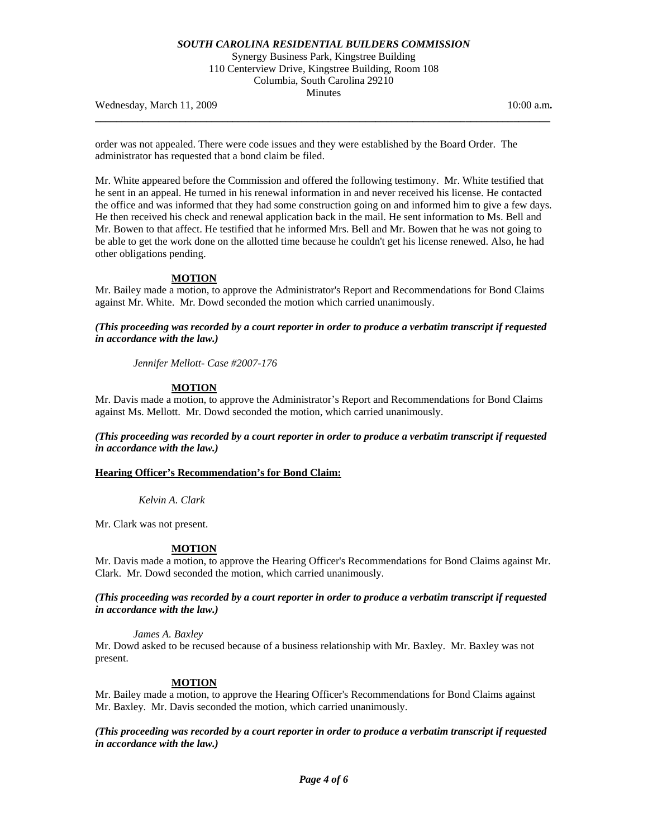Synergy Business Park, Kingstree Building 110 Centerview Drive, Kingstree Building, Room 108 Columbia, South Carolina 29210 Minutes

**\_\_\_\_\_\_\_\_\_\_\_\_\_\_\_\_\_\_\_\_\_\_\_\_\_\_\_\_\_\_\_\_\_\_\_\_\_\_\_\_\_\_\_\_\_\_\_\_\_\_\_\_\_\_\_\_\_\_\_\_\_\_\_\_\_\_\_\_\_\_\_\_\_\_\_\_\_\_\_\_\_\_\_\_\_\_** 

Wednesday, March 11, 2009 **10:00 a.m. 10:00 a.m. 10:00 a.m.** 

order was not appealed. There were code issues and they were established by the Board Order. The administrator has requested that a bond claim be filed.

Mr. White appeared before the Commission and offered the following testimony. Mr. White testified that he sent in an appeal. He turned in his renewal information in and never received his license. He contacted the office and was informed that they had some construction going on and informed him to give a few days. He then received his check and renewal application back in the mail. He sent information to Ms. Bell and Mr. Bowen to that affect. He testified that he informed Mrs. Bell and Mr. Bowen that he was not going to be able to get the work done on the allotted time because he couldn't get his license renewed. Also, he had other obligations pending.

#### **MOTION**

Mr. Bailey made a motion, to approve the Administrator's Report and Recommendations for Bond Claims against Mr. White. Mr. Dowd seconded the motion which carried unanimously.

*(This proceeding was recorded by a court reporter in order to produce a verbatim transcript if requested in accordance with the law.)* 

*Jennifer Mellott- Case #2007-176* 

### **MOTION**

Mr. Davis made a motion, to approve the Administrator's Report and Recommendations for Bond Claims against Ms. Mellott. Mr. Dowd seconded the motion, which carried unanimously.

*(This proceeding was recorded by a court reporter in order to produce a verbatim transcript if requested in accordance with the law.)* 

## **Hearing Officer's Recommendation's for Bond Claim:**

 *Kelvin A. Clark* 

Mr. Clark was not present.

## **MOTION**

Mr. Davis made a motion, to approve the Hearing Officer's Recommendations for Bond Claims against Mr. Clark. Mr. Dowd seconded the motion, which carried unanimously.

*(This proceeding was recorded by a court reporter in order to produce a verbatim transcript if requested in accordance with the law.)* 

*James A. Baxley* 

Mr. Dowd asked to be recused because of a business relationship with Mr. Baxley. Mr. Baxley was not present.

### **MOTION**

Mr. Bailey made a motion, to approve the Hearing Officer's Recommendations for Bond Claims against Mr. Baxley. Mr. Davis seconded the motion, which carried unanimously.

*(This proceeding was recorded by a court reporter in order to produce a verbatim transcript if requested in accordance with the law.)*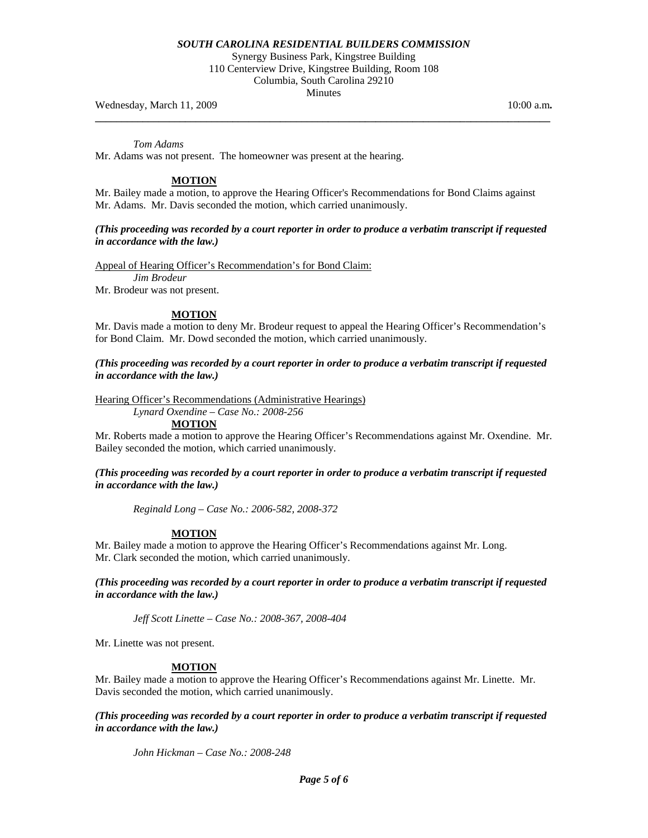Synergy Business Park, Kingstree Building 110 Centerview Drive, Kingstree Building, Room 108 Columbia, South Carolina 29210 Minutes

**\_\_\_\_\_\_\_\_\_\_\_\_\_\_\_\_\_\_\_\_\_\_\_\_\_\_\_\_\_\_\_\_\_\_\_\_\_\_\_\_\_\_\_\_\_\_\_\_\_\_\_\_\_\_\_\_\_\_\_\_\_\_\_\_\_\_\_\_\_\_\_\_\_\_\_\_\_\_\_\_\_\_\_\_\_\_** 

Wednesday, March 11, 2009 **10:00 a.m. 10:00 a.m. 10:00 a.m. 10:00 a.m.** 

*Tom Adams* 

Mr. Adams was not present. The homeowner was present at the hearing.

# **MOTION**

Mr. Bailey made a motion, to approve the Hearing Officer's Recommendations for Bond Claims against Mr. Adams. Mr. Davis seconded the motion, which carried unanimously.

## *(This proceeding was recorded by a court reporter in order to produce a verbatim transcript if requested in accordance with the law.)*

Appeal of Hearing Officer's Recommendation's for Bond Claim:  *Jim Brodeur*  Mr. Brodeur was not present.

## **MOTION**

Mr. Davis made a motion to deny Mr. Brodeur request to appeal the Hearing Officer's Recommendation's for Bond Claim. Mr. Dowd seconded the motion, which carried unanimously.

*(This proceeding was recorded by a court reporter in order to produce a verbatim transcript if requested in accordance with the law.)* 

Hearing Officer's Recommendations (Administrative Hearings)

 *Lynard Oxendine – Case No.: 2008-256* 

**MOTION**

Mr. Roberts made a motion to approve the Hearing Officer's Recommendations against Mr. Oxendine. Mr. Bailey seconded the motion, which carried unanimously.

## *(This proceeding was recorded by a court reporter in order to produce a verbatim transcript if requested in accordance with the law.)*

*Reginald Long – Case No.: 2006-582, 2008-372* 

## **MOTION**

Mr. Bailey made a motion to approve the Hearing Officer's Recommendations against Mr. Long. Mr. Clark seconded the motion, which carried unanimously.

*(This proceeding was recorded by a court reporter in order to produce a verbatim transcript if requested in accordance with the law.)* 

*Jeff Scott Linette – Case No.: 2008-367, 2008-404* 

Mr. Linette was not present.

## **MOTION**

Mr. Bailey made a motion to approve the Hearing Officer's Recommendations against Mr. Linette. Mr. Davis seconded the motion, which carried unanimously.

*(This proceeding was recorded by a court reporter in order to produce a verbatim transcript if requested in accordance with the law.)* 

 *John Hickman – Case No.: 2008-248*